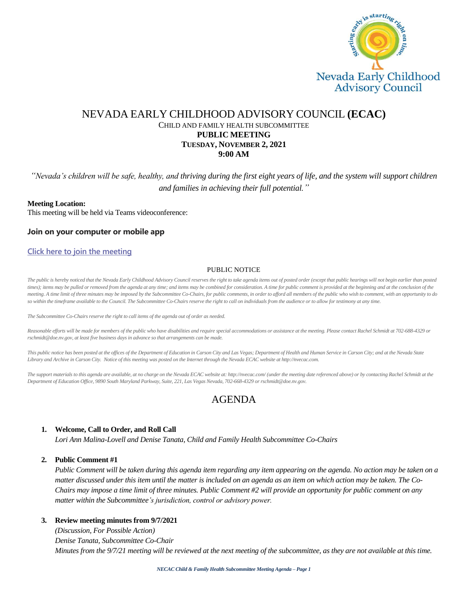

## NEVADA EARLY CHILDHOOD ADVISORY COUNCIL **(ECAC)** CHILD AND FAMILY HEALTH SUBCOMMITTEE **PUBLIC MEETING TUESDAY, NOVEMBER 2, 2021 9:00 AM**

*"Nevada's children will be safe, healthy, and thriving during the first eight years of life, and the system will support children and families in achieving their full potential."*

#### **Meeting Location:**

This meeting will be held via Teams videoconference:

#### **Join on your computer or mobile app**

#### **[Click here to join the meeting](https://teams.microsoft.com/l/meetup-join/19%3ameeting_M2U5ZGRhOGYtMjY4My00YmE1LWE1MWYtOGYzNTQyMzgwODQ2%40thread.v2/0?context=%7b%22Tid%22%3a%2279ba5f34-3adf-4b67-a319-49c7b03a429f%22%2c%22Oid%22%3a%221d561be2-e2c0-4e59-8e44-60a39df27762%22%7d)**

#### PUBLIC NOTICE

The public is hereby noticed that the Nevada Early Childhood Advisory Council reserves the right to take agenda items out of posted order (except that public hearings will not begin earlier than posted *times); items may be pulled or removed from the agenda at any time; and items may be combined for consideration. A time for public comment is provided at the beginning and at the conclusion of the meeting. A time limit of three minutes may be imposed by the Subcommittee Co-Chairs, for public comments, in order to afford all members of the public who wish to comment, with an opportunity to do*  so within the timeframe available to the Council. The Subcommittee Co-Chairs reserve the right to call on individuals from the audience or to allow for testimony at any time.

*The Subcommittee Co-Chairs reserve the right to call items of the agenda out of order as needed.*

*Reasonable efforts will be made for members of the public who have disabilities and require special accommodations or assistance at the meeting. Please contact Rachel Schmidt at 702-688-4329 or rschmidt@doe.nv.gov, at least five business days in advance so that arrangements can be made.*

*This public notice has been posted at the offices of the Department of Education in Carson City and Las Vegas; Department of Health and Human Service in Carson City; and at the Nevada State Library and Archive in Carson City. Notice of this meeting was posted on the Internet through the Nevada ECAC website at http://nvecac.com.*

*The support materials to this agenda are available, at no charge on the Nevada ECAC website at: http://nvecac.com/ (under the meeting date referenced above) or by contacting Rachel Schmidt at the Department of Education Office, 9890 South Maryland Parkway, Suite, 221, Las Vegas Nevada, 702-668-4329 or rschmidt@doe.nv.gov.*

# AGENDA

#### **1. Welcome, Call to Order, and Roll Call**

*Lori Ann Malina-Lovell and Denise Tanata, Child and Family Health Subcommittee Co-Chairs*

#### **2. Public Comment #1**

*Public Comment will be taken during this agenda item regarding any item appearing on the agenda. No action may be taken on a matter discussed under this item until the matter is included on an agenda as an item on which action may be taken. The Co-Chairs may impose a time limit of three minutes. Public Comment #2 will provide an opportunity for public comment on any matter within the Subcommittee's jurisdiction, control or advisory power.*

#### **3. Review meeting minutes from 9/7/2021**

*(Discussion, For Possible Action) Denise Tanata, Subcommittee Co-Chair Minutes from the 9/7/21 meeting will be reviewed at the next meeting of the subcommittee, as they are not available at this time.*